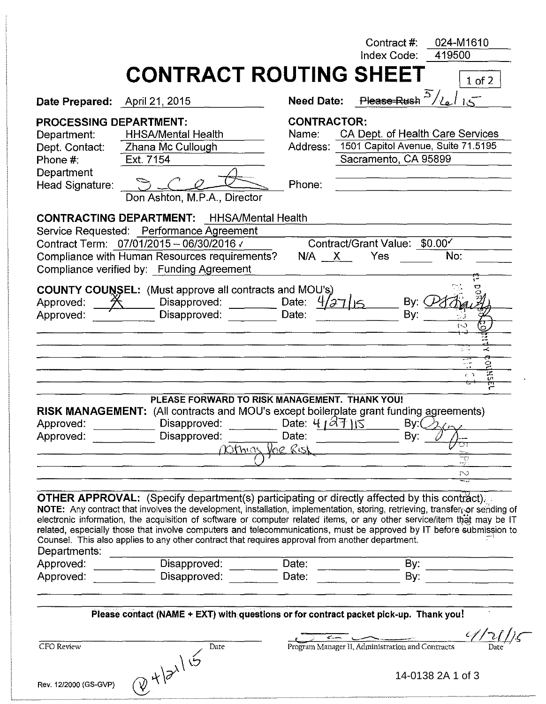|                                                                                                                |                                                                                                                                                                                                                                                                                                                                                                                                                                                                                                                                                                                                                                    |                                                   | Contract#:<br>Index Code:                                                                      | 024-M1610<br>419500                     |
|----------------------------------------------------------------------------------------------------------------|------------------------------------------------------------------------------------------------------------------------------------------------------------------------------------------------------------------------------------------------------------------------------------------------------------------------------------------------------------------------------------------------------------------------------------------------------------------------------------------------------------------------------------------------------------------------------------------------------------------------------------|---------------------------------------------------|------------------------------------------------------------------------------------------------|-----------------------------------------|
|                                                                                                                | <b>CONTRACT ROUTING SHEET</b>                                                                                                                                                                                                                                                                                                                                                                                                                                                                                                                                                                                                      |                                                   |                                                                                                |                                         |
|                                                                                                                |                                                                                                                                                                                                                                                                                                                                                                                                                                                                                                                                                                                                                                    |                                                   |                                                                                                | $1$ of $2$                              |
| <b>Date Prepared:</b> April 21, 2015                                                                           |                                                                                                                                                                                                                                                                                                                                                                                                                                                                                                                                                                                                                                    | <b>Need Date:</b>                                 | Please Rush                                                                                    |                                         |
| <b>PROCESSING DEPARTMENT:</b><br>Department:<br>Dept. Contact:<br>Phone $#$ :<br>Department<br>Head Signature: | <b>HHSA/Mental Health</b><br>Zhana Mc Cullough<br>Ext. 7154<br>Don Ashton, M.P.A., Director                                                                                                                                                                                                                                                                                                                                                                                                                                                                                                                                        | <b>CONTRACTOR:</b><br>Name:<br>Address:<br>Phone: | CA Dept. of Health Care Services<br>1501 Capitol Avenue, Suite 71.5195<br>Sacramento, CA 95899 |                                         |
| <b>CONTRACTING DEPARTMENT:</b>                                                                                 | Service Requested: Performance Agreement<br>Contract Term: 07/01/2015 - 06/30/2016 /<br>Compliance with Human Resources requirements?<br>Compliance verified by: Funding Agreement                                                                                                                                                                                                                                                                                                                                                                                                                                                 | <b>HHSA/Mental Health</b><br>N/A X                | Contract/Grant Value: \$0.00<br>Yes                                                            | No:                                     |
| Approved:<br>Approved:                                                                                         | <b>COUNTY COUNSEL:</b> (Must approve all contracts and MOU's)<br>Disapproved:<br>Disapproved:                                                                                                                                                                                                                                                                                                                                                                                                                                                                                                                                      | Date: $4/37/5$<br>Date:                           | By:<br>By:                                                                                     | $\sim$<br>L.<br>윤<br>ī.<br>$\epsilon$ ) |
| <b>RISK MANAGEMENT:</b><br>Approved:<br>Approved:                                                              | PLEASE FORWARD TO RISK MANAGEMENT. THANK YOU!<br>(All contracts and MOU's except boilerplate grant funding agreements)<br>Disapproved:<br>Disapproved:<br>normas                                                                                                                                                                                                                                                                                                                                                                                                                                                                   | Date: $414715$<br>Date:<br>Voe Risk               | By:                                                                                            | ग्गु<br>$By: \bigcirc_{\mathcal{L}}$    |
|                                                                                                                |                                                                                                                                                                                                                                                                                                                                                                                                                                                                                                                                                                                                                                    |                                                   |                                                                                                | أزياحه<br>N                             |
| Departments:<br>Approved:<br>Approved:                                                                         | <b>OTHER APPROVAL:</b> (Specify department(s) participating or directly affected by this contract).<br>NOTE: Any contract that involves the development, installation, implementation, storing, retrieving, transferor sending of<br>electronic information, the acquisition of software or computer related items, or any other service/item that may be IT<br>related, especially those that involve computers and telecommunications, must be approved by IT before submission to<br>Counsel. This also applies to any other contract that requires approval from another department.<br>Disapproved: _________<br>Disapproved: | Date:<br>Date:                                    | By:                                                                                            |                                         |
|                                                                                                                |                                                                                                                                                                                                                                                                                                                                                                                                                                                                                                                                                                                                                                    |                                                   |                                                                                                |                                         |
|                                                                                                                | Please contact (NAME + EXT) with questions or for contract packet pick-up. Thank you!                                                                                                                                                                                                                                                                                                                                                                                                                                                                                                                                              |                                                   |                                                                                                |                                         |
| CFO Review                                                                                                     | Date                                                                                                                                                                                                                                                                                                                                                                                                                                                                                                                                                                                                                               |                                                   | Program Manager II, Administration and Contracts                                               |                                         |
| Rev. 12/2000 (GS-GVP)                                                                                          | 2415                                                                                                                                                                                                                                                                                                                                                                                                                                                                                                                                                                                                                               |                                                   |                                                                                                | 14-0138 2A 1 of 3                       |

| Rev. 12/2000 (GS-GVP |
|----------------------|
|                      |

 $\sim$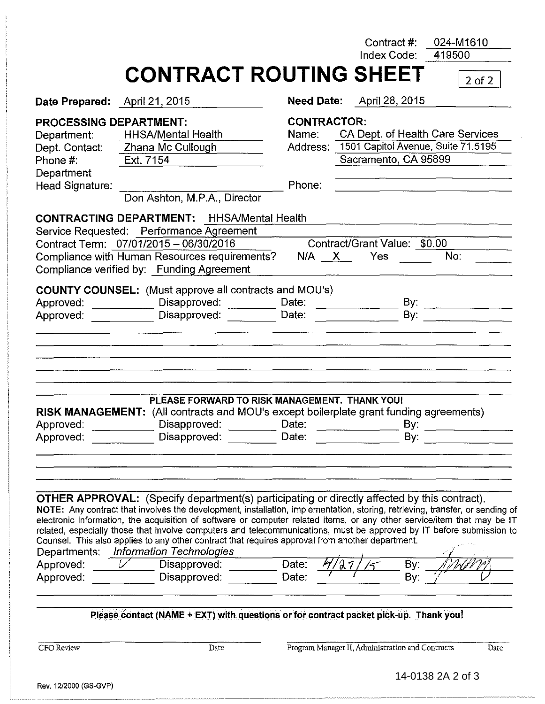|                                                                            |                                                                                                                                                                                                                                                                                                                                                                                                                                                                                                                                                                                                                                               |                    | Contract #:<br>Index Code:                                                                                    | 024-M1610<br>419500                                       |  |
|----------------------------------------------------------------------------|-----------------------------------------------------------------------------------------------------------------------------------------------------------------------------------------------------------------------------------------------------------------------------------------------------------------------------------------------------------------------------------------------------------------------------------------------------------------------------------------------------------------------------------------------------------------------------------------------------------------------------------------------|--------------------|---------------------------------------------------------------------------------------------------------------|-----------------------------------------------------------|--|
|                                                                            | <b>CONTRACT ROUTING SHEET</b>                                                                                                                                                                                                                                                                                                                                                                                                                                                                                                                                                                                                                 |                    |                                                                                                               | $2$ of $2$                                                |  |
| <b>Date Prepared:</b> April 21, 2015                                       |                                                                                                                                                                                                                                                                                                                                                                                                                                                                                                                                                                                                                                               |                    | Need Date: April 28, 2015                                                                                     |                                                           |  |
| <b>PROCESSING DEPARTMENT:</b><br>Phone #:<br>Department<br>Head Signature: | Department: HHSA/Mental Health<br>Dept. Contact: Zhana Mc Cullough<br>Ext. 7154                                                                                                                                                                                                                                                                                                                                                                                                                                                                                                                                                               | <b>CONTRACTOR:</b> | Name: CA Dept. of Health Care Services<br>Address: 1501 Capitol Avenue, Suite 71.5195<br>Sacramento, CA 95899 |                                                           |  |
|                                                                            | Don Ashton, M.P.A., Director                                                                                                                                                                                                                                                                                                                                                                                                                                                                                                                                                                                                                  | Phone:             |                                                                                                               | <u> 1980 - John Stone, Amerikaansk politiker (* 1900)</u> |  |
|                                                                            | <b>CONTRACTING DEPARTMENT:</b> HHSA/Mental Health<br>Service Requested: Performance Agreement<br>Contract Term: 07/01/2015 - 06/30/2016<br>Compliance with Human Resources requirements?<br>Compliance verified by: Funding Agreement                                                                                                                                                                                                                                                                                                                                                                                                         |                    | Contract/Grant Value: \$0.00<br>N/A X Yes                                                                     | No:                                                       |  |
|                                                                            | <b>COUNTY COUNSEL:</b> (Must approve all contracts and MOU's)                                                                                                                                                                                                                                                                                                                                                                                                                                                                                                                                                                                 |                    |                                                                                                               |                                                           |  |
| Approved:<br>Approved:                                                     | PLEASE FORWARD TO RISK MANAGEMENT. THANK YOU!<br>RISK MANAGEMENT: (All contracts and MOU's except boilerplate grant funding agreements)<br>Disapproved:<br>Disapproved:                                                                                                                                                                                                                                                                                                                                                                                                                                                                       | Date:<br>Date:     | By:<br>By:                                                                                                    |                                                           |  |
| Departments:<br>Approved:                                                  | <b>OTHER APPROVAL:</b> (Specify department(s) participating or directly affected by this contract).<br>NOTE: Any contract that involves the development, installation, implementation, storing, retrieving, transfer, or sending of<br>electronic information, the acquisition of software or computer related items, or any other service/item that may be IT<br>related, especially those that involve computers and telecommunications, must be approved by IT before submission to<br>Counsel. This also applies to any other contract that requires approval from another department.<br><b>Information Technologies</b><br>Disapproved: | Date:              | By:                                                                                                           |                                                           |  |
| Approved:                                                                  | Disapproved:                                                                                                                                                                                                                                                                                                                                                                                                                                                                                                                                                                                                                                  | Date:              | By:                                                                                                           |                                                           |  |
|                                                                            | Please contact (NAME + EXT) with questions or for contract packet pick-up. Thank you!                                                                                                                                                                                                                                                                                                                                                                                                                                                                                                                                                         |                    |                                                                                                               |                                                           |  |
| <b>CFO</b> Review                                                          | Date                                                                                                                                                                                                                                                                                                                                                                                                                                                                                                                                                                                                                                          |                    | Program Manager II, Administration and Contracts                                                              | Date                                                      |  |

|  | Rev. 12/2000 (GS-GVP) |
|--|-----------------------|
|--|-----------------------|